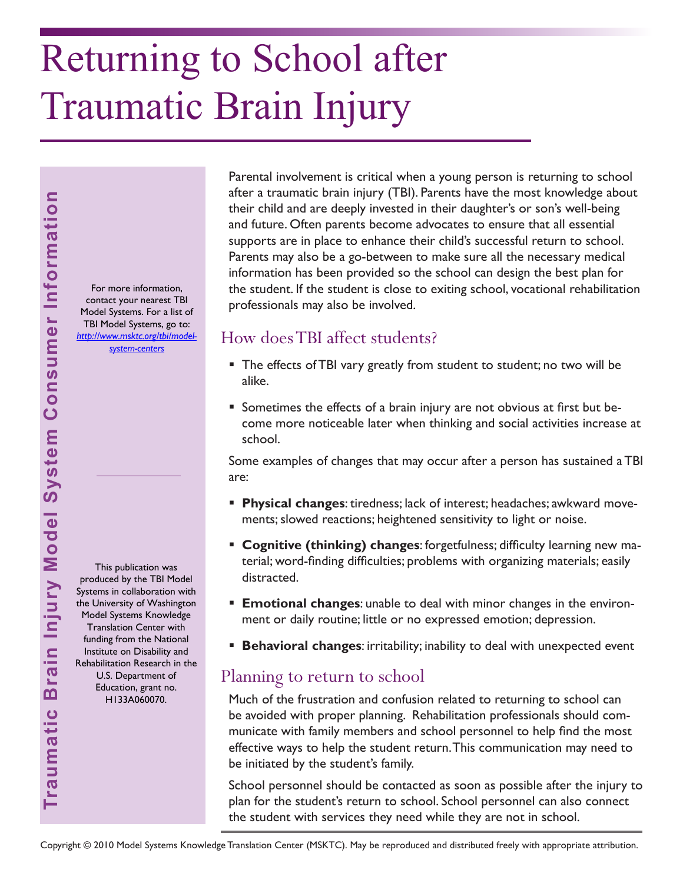# Returning to School after Traumatic Brain Injury

For more information, contact your nearest TBI Model Systems. For a list of TBI Model Systems, go to: *[http://www.msktc.org/tbi/model](http://www.msktc.org/tbi/model-system-centers)system-centers* 

Parental involvement is critical when a young person is returning to school after a traumatic brain injury (TBI). Parents have the most knowledge about their child and are deeply invested in their daughter's or son's well-being and future. Often parents become advocates to ensure that all essential supports are in place to enhance their child's successful return to school. Parents may also be a go-between to make sure all the necessary medical information has been provided so the school can design the best plan for the student. If the student is close to exiting school, vocational rehabilitation professionals may also be involved.

## How does TBI affect students?

- The effects of TBI vary greatly from student to student; no two will be alike.
- Sometimes the effects of a brain injury are not obvious at first but become more noticeable later when thinking and social activities increase at school.

Some examples of changes that may occur after a person has sustained a TBI are:

- **Physical changes**: tiredness; lack of interest; headaches; awkward movements; slowed reactions; heightened sensitivity to light or noise.
- **Cognitive (thinking) changes**: forgetfulness; difficulty learning new material; word-finding difficulties; problems with organizing materials; easily distracted.
- **Emotional changes**: unable to deal with minor changes in the environment or daily routine; little or no expressed emotion; depression.
- **Behavioral changes**: irritability; inability to deal with unexpected event

### Planning to return to school

Much of the frustration and confusion related to returning to school can be avoided with proper planning. Rehabilitation professionals should communicate with family members and school personnel to help find the most effective ways to help the student return. This communication may need to be initiated by the student's family.

School personnel should be contacted as soon as possible after the injury to plan for the student's return to school. School personnel can also connect the student with services they need while they are not in school.

This publication was produced by the TBI Model Systems in collaboration with the University of Washington Model Systems Knowledge Translation Center with funding from the National Institute on Disability and Rehabilitation Research in the U.S. Department of Education, grant no. H133A060070.

**Traumatic Brain Injury Model System Consumer Information**

Traumatic Brain Injury Model System Consumer Information

Copyright © 2010 Model Systems Knowledge Translation Center (MSKTC). May be reproduced and distributed freely with appropriate attribution.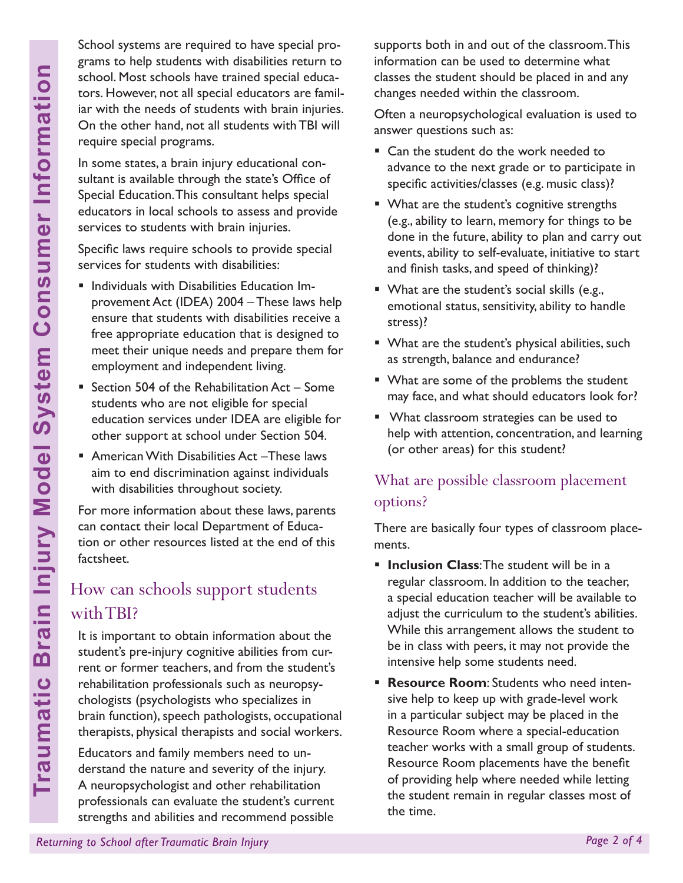School systems are required to have special programs to help students with disabilities return to school. Most schools have trained special educators. However, not all special educators are familiar with the needs of students with brain injuries. On the other hand, not all students with TBI will require special programs.

In some states, a brain injury educational consultant is available through the state's Office of Special Education. This consultant helps special educators in local schools to assess and provide services to students with brain injuries.

Specific laws require schools to provide special services for students with disabilities:

- Individuals with Disabilities Education Improvement Act (IDEA) 2004 – These laws help ensure that students with disabilities receive a free appropriate education that is designed to meet their unique needs and prepare them for employment and independent living.
- Section 504 of the Rehabilitation  $Act Some$ students who are not eligible for special education services under IDEA are eligible for other support at school under Section 504.
- American With Disabilities Act These laws aim to end discrimination against individuals with disabilities throughout society.

For more information about these laws, parents can contact their local Department of Education or other resources listed at the end of this factsheet.

# How can schools support students with TBI?

**Returning to School School after Transformation**<br> **Returning to School after Transformation**<br> **Returning to School after Transformation**<br> **Returning to Special Education. This consultant be states, a brain injury educator** It is important to obtain information about the student's pre-injury cognitive abilities from current or former teachers, and from the student's rehabilitation professionals such as neuropsychologists (psychologists who specializes in brain function), speech pathologists, occupational therapists, physical therapists and social workers.

Educators and family members need to understand the nature and severity of the injury. A neuropsychologist and other rehabilitation professionals can evaluate the student's current strengths and abilities and recommend possible

supports both in and out of the classroom. This information can be used to determine what classes the student should be placed in and any changes needed within the classroom.

Often a neuropsychological evaluation is used to answer questions such as:

- Can the student do the work needed to advance to the next grade or to participate in specific activities/classes (e.g. music class)?
- **What are the student's cognitive strengths** (e.g., ability to learn, memory for things to be done in the future, ability to plan and carry out events, ability to self-evaluate, initiative to start and finish tasks, and speed of thinking)?
- **What are the student's social skills (e.g.,** emotional status, sensitivity, ability to handle stress)?
- What are the student's physical abilities, such as strength, balance and endurance?
- **What are some of the problems the student** may face, and what should educators look for?
- **What classroom strategies can be used to** help with attention, concentration, and learning (or other areas) for this student?

# What are possible classroom placement options?

There are basically four types of classroom placements.

- **Inclusion Class**: The student will be in a regular classroom. In addition to the teacher, a special education teacher will be available to adjust the curriculum to the student's abilities. While this arrangement allows the student to be in class with peers, it may not provide the intensive help some students need.
- **Resource Room**: Students who need intensive help to keep up with grade-level work in a particular subject may be placed in the Resource Room where a special-education teacher works with a small group of students. Resource Room placements have the benefit of providing help where needed while letting the student remain in regular classes most of the time.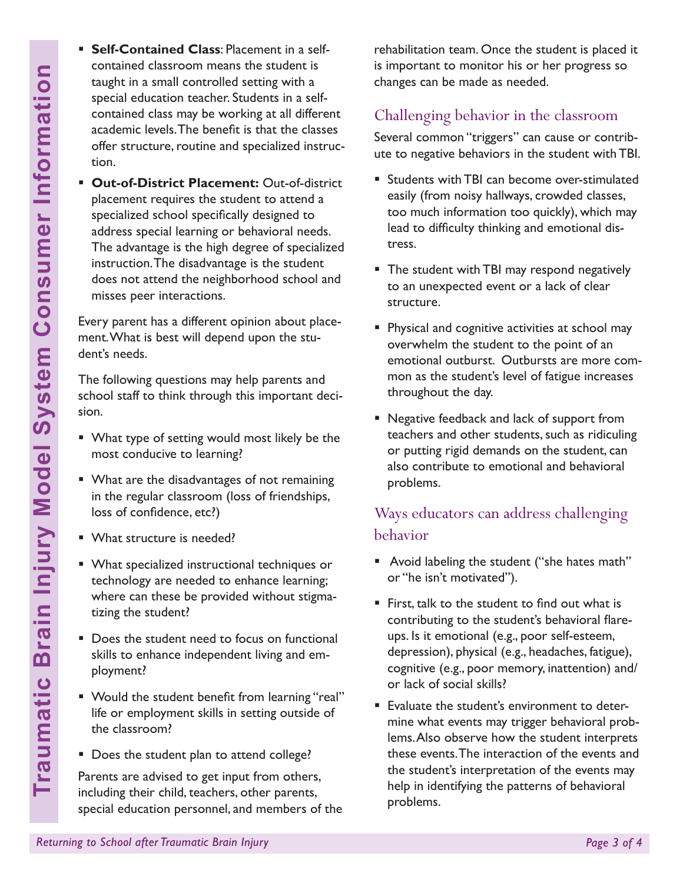- **Self-Contained Class**: Placement in a selfcontained classroom means the student is taught in a small controlled setting with a special education teacher. Students in a selfcontained class may be working at all different academic levels. The benefit is that the classes offer structure, routine and specialized instruction.
- **Example 1997**<br> **Returning the School after Transmary be vorthing the school and the school and the school specifies it offer structure, routine and specifies offer structure, routine and specifies of the methaning or beha Out-of-District Placement:** Out-of-district placement requires the student to attend a specialized school specifically designed to address special learning or behavioral needs. The advantage is the high degree of specialized instruction. The disadvantage is the student does not attend the neighborhood school and misses peer interactions.

Every parent has a different opinion about placement. What is best will depend upon the student's needs.

The following questions may help parents and school staff to think through this important decision.

- What type of setting would most likely be the most conducive to learning?
- What are the disadvantages of not remaining in the regular classroom (loss of friendships, loss of confidence, etc?)
- What structure is needed?
- What specialized instructional techniques or technology are needed to enhance learning; where can these be provided without stigmatizing the student?
- Does the student need to focus on functional skills to enhance independent living and employment?
- Would the student benefit from learning "real" life or employment skills in setting outside of the classroom?
- Does the student plan to attend college?

Parents are advised to get input from others, including their child, teachers, other parents, special education personnel, and members of the rehabilitation team. Once the student is placed it is important to monitor his or her progress so changes can be made as needed.

## Challenging behavior in the classroom

Several common "triggers" can cause or contribute to negative behaviors in the student with TBI.

- **Students with TBI can become over-stimulated** easily (from noisy hallways, crowded classes, too much information too quickly), which may lead to difficulty thinking and emotional distress.
- **The student with TBI may respond negatively** to an unexpected event or a lack of clear structure.
- **Physical and cognitive activities at school may** overwhelm the student to the point of an emotional outburst. Outbursts are more common as the student's level of fatigue increases throughout the day.
- Negative feedback and lack of support from teachers and other students, such as ridiculing or putting rigid demands on the student, can also contribute to emotional and behavioral problems.

## Ways educators can address challenging behavior

- **Avoid labeling the student ("she hates math"** or "he isn't motivated").
- First, talk to the student to find out what is contributing to the student's behavioral flareups. Is it emotional (e.g., poor self-esteem, depression), physical (e.g., headaches, fatigue), cognitive (e.g., poor memory, inattention) and/ or lack of social skills?
- **Evaluate the student's environment to deter**mine what events may trigger behavioral problems. Also observe how the student interprets these events. The interaction of the events and the student's interpretation of the events may help in identifying the patterns of behavioral problems.